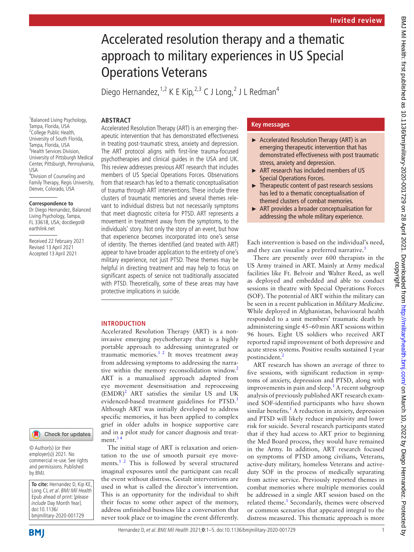# Accelerated resolution therapy and a thematic approach to military experiences in US Special Operations Veterans

Diego Hernandez, <sup>1,2</sup> K E Kip, <sup>2,3</sup> C J Long, <sup>2</sup> J L Redman<sup>4</sup>

## **ABSTRACT**

1 Balanced Living Psychology, Tampa, Florida, USA <sup>2</sup>College Public Health, University of South Florida, Tampa, Florida, USA <sup>3</sup> Health Services Division, University of Pittsburgh Medical Center, Pittsburgh, Pennsylvania, USA 4 Division of Counseling and

Family Therapy, Regis University, Denver, Colorado, USA

#### **Correspondence to**

Dr Diego Hernandez, Balanced Living Psychology, Tampa, FL 33618, USA; docdiego@ earthlink.net

Received 22 February 2021 Revised 13 April 2021 Accepted 13 April 2021

Accelerated Resolution Therapy (ART) is an emerging therapeutic intervention that has demonstrated effectiveness in treating post-traumatic stress, anxiety and depression. The ART protocol aligns with first-line trauma-focused psychotherapies and clinical guides in the USA and UK. This review addresses previous ART research that includes members of US Special Operations Forces. Observations from that research has led to a thematic conceptualisation of trauma through ART interventions. These include three clusters of traumatic memories and several themes relevant to individual distress but not necessarily symptoms that meet diagnostic criteria for PTSD. ART represents a movement in treatment away from the symptoms, to the individuals' story. Not only the story of an event, but how that experience becomes incorporated into one's sense of identity. The themes identified (and treated with ART) appear to have broader application to the entirety of one's military experience, not just PTSD. These themes may be helpful in directing treatment and may help to focus on significant aspects of service not traditionally associated with PTSD. Theoretically, some of these areas may have protective implications in suicide.

## **INTRODUCTION**

Accelerated Resolution Therapy (ART) is a noninvasive emerging psychotherapy that is a highly portable approach to addressing unintegrated or traumatic memories. $1^2$  It moves treatment away from addressing symptoms to addressing the narra-tive within the memory reconsolidation window.<sup>[2](#page-4-1)</sup> ART is a manualised approach adapted from eye movement desensitisation and reprocessing  $(EMDR)^2$  ART satisfies the similar US and UK evidenced-based treatment guidelines for PTSD.<sup>[1](#page-4-0)</sup> Although ART was initially developed to address specific memories, it has been applied to complex grief in older adults in hospice supportive care and in a pilot study for cancer diagnosis and treatment. $3'$ 

The initial stage of ART is relaxation and orientation to the use of smooth pursuit eye move-ments.<sup>[1 2](#page-4-0)</sup> This is followed by several structured imaginal exposures until the participant can recall the event without distress. Gestalt interventions are used in what is called the director's intervention. This is an opportunity for the individual to shift their focus to some other aspect of the memory, address unfinished business like a conversation that never took place or to imagine the event differently.

# **Key messages**

- ► Accelerated Resolution Therapy (ART) is an emerging therapeutic intervention that has demonstrated effectiveness with post traumatic stress, anxiety and depression.
- ► ART research has included members of US Special Operations Forces.
- $\blacktriangleright$  Therapeutic content of past research sessions has led to a thematic conceptualisation of themed clusters of combat memories.
- ► ART provides a broader conceptualisation for addressing the whole military experience.

Each intervention is based on the individual's need, and they can visualise a preferred narrative.<sup>[1](#page-4-0)</sup>

There are presently over 600 therapists in the US Army trained in ART. Mainly at Army medical facilities like Ft. Belvoir and Walter Reed, as well as deployed and embedded and able to conduct sessions in theatre with Special Operations Forces (SOF). The potential of ART within the military can be seen in a recent publication in *Military Medicine*. While deployed in Afghanistan, behavioural health responded to a unit members' traumatic death by administering single 45–60min ART sessions within 96 hours. Eight US soldiers who received ART reported rapid improvement of both depressive and acute stress systems. Positive results sustained 1year postincident.

ART research has shown an average of three to five sessions, with significant reduction in symptoms of anxiety, depression and PTSD, along with improvements in pain and sleep.<sup>[1](#page-4-0)</sup> A recent subgroup analysis of previously published ART research examined SOF-identified participants who have shown similar benefits.<sup>[1](#page-4-0)</sup> A reduction in anxiety, depression and PTSD will likely reduce impulsivity and lower risk for suicide. Several research participants stated that if they had access to ART prior to beginning the Med Board process, they would have remained in the Army. In addition, ART research focused on symptoms of PTSD among civilians, Veterans, active-duty military, homeless Veterans and activeduty SOF in the process of medically separating from active service. Previously reported themes in combat memories where multiple memories could be addressed in a single ART session based on the related theme.<sup>[1](#page-4-0)</sup> Secondarily, themes were observed or common scenarios that appeared integral to the distress measured. This thematic approach is more

employer(s)) 2021. No commercial re-use. See rights and permissions. Published by BMJ.

**To cite:** Hernandez D, Kip KE, Long CJ, et al. BMJ Mil Health Epub ahead of print: [please include Day Month Year]. doi:10.1136/ bmjmilitary-2020-001729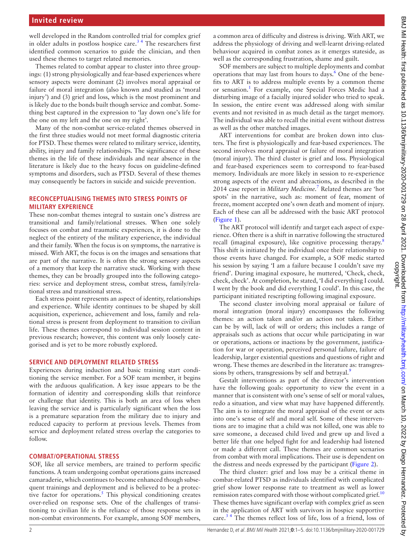well developed in the Random controlled trial for complex grief in older adults in postloss hospice care.<sup>34</sup> The researchers first identified common scenarios to guide the clinician, and then used these themes to target related memories.

Themes related to combat appear to cluster into three groupings: (1) strong physiologically and fear-based experiences where sensory aspects were dominant (2) involves moral appraisal or failure of moral integration (also known and studied as 'moral injury') and (3) grief and loss, which is the most prominent and is likely due to the bonds built though service and combat. Something best captured in the expression to 'lay down one's life for the one on my left and the one on my right'.

Many of the non-combat service-related themes observed in the first three studies would not meet formal diagnostic criteria for PTSD. These themes were related to military service, identity, ability, injury and family relationships. The significance of these themes in the life of these individuals and near absence in the literature is likely due to the heavy focus on guideline-defined symptoms and disorders, such as PTSD. Several of these themes may consequently be factors in suicide and suicide prevention.

# **RECONCEPTUALISING THEMES INTO STRESS POINTS OF MILITARY EXPERIENCE**

These non-combat themes integral to sustain one's distress are transitional and family/relational stresses. When one solely focuses on combat and traumatic experiences, it is done to the neglect of the entirety of the military experience, the individual and their family. When the focus is on symptoms, the narrative is missed. With ART, the focus is on the images and sensations that are part of the narrative. It is often the strong sensory aspects of a memory that keep the narrative stuck. Working with these themes, they can be broadly grouped into the following categories: service and deployment stress, combat stress, family/relational stress and transitional stress.

Each stress point represents an aspect of identity, relationships and experience. While identity continues to be shaped by skill acquisition, experience, achievement and loss, family and relational stress is present from deployment to transition to civilian life. These themes correspond to individual session content in previous research; however, this content was only loosely categorised and is yet to be more robustly explored.

# **SERVICE AND DEPLOYMENT RELATED STRESS**

Experiences during induction and basic training start conditioning the service member. For a SOF team member, it begins with the arduous qualification. A key issue appears to be the formation of identity and corresponding skills that reinforce or challenge that identity. This is both an area of loss when leaving the service and is particularly significant when the loss is a premature separation from the military due to injury and reduced capacity to perform at previous levels. Themes from service and deployment related stress overlap the categories to follow.

# **COMBAT/OPERATIONAL STRESS**

SOF, like all service members, are trained to perform specific functions. A team undergoing combat operations gains increased camaraderie, which continues to become enhanced though subsequent trainings and deployment and is believed to be a protec-tive factor for operations.<sup>[5](#page-4-3)</sup> This physical conditioning creates over-relied on response sets. One of the challenges of transitioning to civilian life is the reliance of those response sets in non-combat environments. For example, among SOF members,

a common area of difficulty and distress is driving. With ART, we address the physiology of driving and well-learnt driving-related behaviour acquired in combat zones as it emerges stateside, as well as the corresponding frustration, shame and guilt.

SOF members are subject to multiple deployments and combat operations that may last from hours to days.<sup>[6](#page-4-4)</sup> One of the benefits to ART is to address multiple events by a common theme or sensation.<sup>[1](#page-4-0)</sup> For example, one Special Forces Medic had a disturbing image of a facially injured solider who tried to speak. In session, the entire event was addressed along with similar events and not revisited in as much detail as the target memory. The individual was able to recall the initial event without distress as well as the other matched images.

ART interventions for combat are broken down into clusters. The first is physiologically and fear-based experiences. The second involves moral appraisal or failure of moral integration (moral injury). The third cluster is grief and loss. Physiological and fear-based experiences seem to correspond to fear-based memory. Individuals are more likely in session to re-experience strong aspects of the event and abreactions, as described in the 2014 case report in *Military Medicine*. [7](#page-4-5) Related themes are 'hot spots' in the narrative, such as: moment of fear, moment of freeze, moment accepted one's own death and moment of injury. Each of these can all be addressed with the basic ART protocol ([Figure](#page-2-0) 1).

The ART protocol will identify and target each aspect of experience. Often there is a shift in narrative following the structured recall (imaginal exposure), like cognitive processing therapy.<sup>[8](#page-4-6)</sup> This shift is initiated by the individual once their relationship to those events have changed. For example, a SOF medic started his session by saying 'I am a failure because I couldn't save my friend'. During imaginal exposure, he muttered, 'Check, check, check, check'. At completion, he stated, 'I did everything I could. I went by the book and did everything I could'. In this case, the participant initiated rescripting following imaginal exposure.

The second cluster involving moral appraisal or failure of moral integration (moral injury) encompasses the following themes: an action taken and/or an action not taken. Either can be by will, lack of will or orders; this includes a range of appraisals such as actions that occur while participating in war or operations, actions or inactions by the government, justification for war or operation, perceived personal failure, failure of leadership, larger existential questions and questions of right and wrong. These themes are described in the literature as: transgres-sions by others, transgressions by self and betrayal.<sup>[9](#page-4-7)</sup>

Gestalt interventions as part of the director's intervention have the following goals: opportunity to view the event in a manner that is consistent with one's sense of self or moral values, redo a situation, and view what may have happened differently. The aim is to integrate the moral appraisal of the event or acts into one's sense of self and moral self. Some of these interventions are to imagine that a child was not killed, one was able to save someone, a deceased child lived and grew up and lived a better life that one helped fight for and leadership had listened or made a different call. These themes are common scenarios from combat with moral implications. Their use is dependent on the distress and needs expressed by the participant ([Figure](#page-2-1) 2).

The third cluster: grief and loss may be a critical theme in combat-related PTSD as individuals identified with complicated grief show lower response rate to treatment as well as lower remission rates compared with those without complicated grief.<sup>[10](#page-4-8)</sup> These themes have significant overlap with complex grief as seen in the application of ART with survivors in hospice supportive care.<sup>34</sup> The themes reflect loss of life, loss of a friend, loss of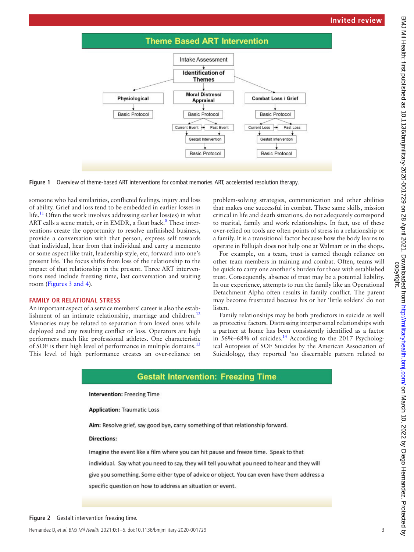





someone who had similarities, conflicted feelings, injury and loss of ability. Grief and loss tend to be embedded in earlier losses in life.<sup>[11](#page-4-9)</sup> Often the work involves addressing earlier loss(es) in what ART calls a scene match, or in EMDR, a float back.<sup>8</sup> These interventions create the opportunity to resolve unfinished business, provide a conversation with that person, express self towards that individual, hear from that individual and carry a memento or some aspect like trait, leadership style, etc, forward into one's present life. The focus shifts from loss of the relationship to the impact of that relationship in the present. Three ART interventions used include freezing time, last conversation and waiting room (Figures [3 and 4](#page-3-0)).

# **FAMILY OR RELATIONAL STRESS**

An important aspect of a service members' career is also the estab-lishment of an intimate relationship, marriage and children.<sup>[12](#page-4-10)</sup> Memories may be related to separation from loved ones while deployed and any resulting conflict or loss. Operators are high performers much like professional athletes. One characteristic of SOF is their high level of performance in multiple domains.<sup>1</sup> This level of high performance creates an over-reliance on

<span id="page-2-0"></span>problem-solving strategies, communication and other abilities that makes one successful in combat. These same skills, mission critical in life and death situations, do not adequately correspond to marital, family and work relationships. In fact, use of these over-relied on tools are often points of stress in a relationship or a family. It is a transitional factor because how the body learns to operate in Fallujah does not help one at Walmart or in the shops.

For example, on a team, trust is earned though reliance on other team members in training and combat. Often, teams will be quick to carry one another's burden for those with established trust. Consequently, absence of trust may be a potential liability. In our experience, attempts to run the family like an Operational Detachment Alpha often results in family conflict. The parent may become frustrated because his or her 'little solders' do not listen.

Family relationships may be both predictors in suicide as well as protective factors. Distressing interpersonal relationships with a partner at home has been consistently identified as a factor in 56%–68% of suicides.<sup>[14](#page-4-12)</sup> According to the 2017 Psychological Autopsies of SOF Suicides by the American Association of Suicidology, they reported 'no discernable pattern related to

# **Gestalt Intervention: Freezing Time**

**Intervention: Freezing Time** 

**Application: Traumatic Loss** 

Aim: Resolve grief, say good bye, carry something of that relationship forward.

# **Directions:**

<span id="page-2-1"></span>Imagine the event like a film where you can hit pause and freeze time. Speak to that individual. Say what you need to say, they will tell you what you need to hear and they will give you something. Some either type of advice or object. You can even have them address a specific question on how to address an situation or event.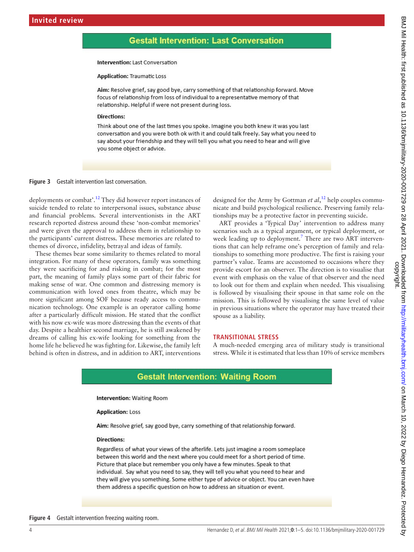# **Gestalt Intervention: Last Conversation**

# Intervention: Last Conversation

#### **Application: Traumatic Loss**

Aim: Resolve grief, say good bye, carry something of that relationship forward. Move focus of relationship from loss of individual to a representative memory of that relationship. Helpful if were not present during loss.

## **Directions:**

<span id="page-3-0"></span>Think about one of the last times you spoke. Imagine you both knew it was you last conversation and you were both ok with it and could talk freely. Say what you need to say about your friendship and they will tell you what you need to hear and will give you some object or advice.

#### **Figure 3** Gestalt intervention last conversation.

deployments or combat'[.12](#page-4-10) They did however report instances of suicide tended to relate to interpersonal issues, substance abuse and financial problems. Several interventionists in the ART research reported distress around these 'non-combat memories' and were given the approval to address them in relationship to the participants' current distress. These memories are related to themes of divorce, infidelity, betrayal and ideas of family.

These themes bear some similarity to themes related to moral integration. For many of these operators, family was something they were sacrificing for and risking in combat; for the most part, the meaning of family plays some part of their fabric for making sense of war. One common and distressing memory is communication with loved ones from theatre, which may be more significant among SOF because ready access to communication technology. One example is an operator calling home after a particularly difficult mission. He stated that the conflict with his now ex-wife was more distressing than the events of that day. Despite a healthier second marriage, he is still awakened by dreams of calling his ex-wife looking for something from the home life he believed he was fighting for. Likewise, the family left behind is often in distress, and in addition to ART, interventions

designed for the Army by Gottman *et al*, [12](#page-4-10) help couples communicate and build psychological resilience. Preserving family relationships may be a protective factor in preventing suicide.

ART provides a 'Typical Day' intervention to address many scenarios such as a typical argument, or typical deployment, or week leading up to deployment.<sup>[7](#page-4-5)</sup> There are two ART interventions that can help reframe one's perception of family and relationships to something more productive. The first is raising your partner's value. Teams are accustomed to occasions where they provide escort for an observer. The direction is to visualise that event with emphasis on the value of that observer and the need to look out for them and explain when needed. This visualising is followed by visualising their spouse in that same role on the mission. This is followed by visualising the same level of value in previous situations where the operator may have treated their spouse as a liability.

#### **TRANSITIONAL STRESS**

A much-needed emerging area of military study is transitional stress. While it is estimated that less than 10% of service members

# **Gestalt Intervention: Waiting Room**

### **Intervention: Waiting Room**

#### **Application: Loss**

Aim: Resolve grief, say good bye, carry something of that relationship forward.

#### **Directions:**

Regardless of what your views of the afterlife. Lets just imagine a room someplace between this world and the next where you could meet for a short period of time. Picture that place but remember you only have a few minutes. Speak to that individual. Say what you need to say, they will tell you what you need to hear and they will give you something. Some either type of advice or object. You can even have them address a specific question on how to address an situation or event.